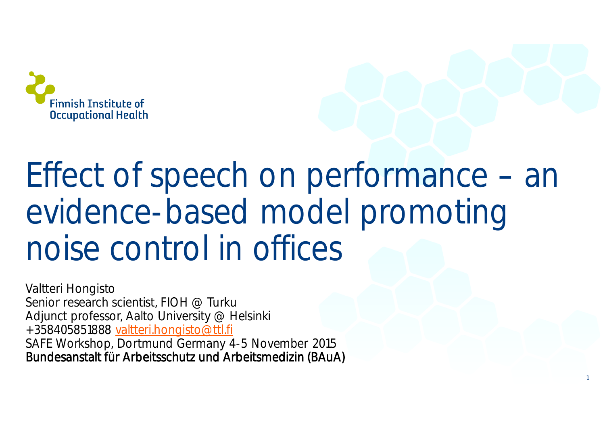

# Effect of speech on performance – an evidence-based model promoting noise control in offices

**1**

Valtteri Hongisto Senior research scientist, FIOH @ Turku Adjunct professor, Aalto University @ Helsinki +358405851888 [valtteri.hongisto@ttl.fi](mailto:valtteri.hongisto@ttl.fi) SAFE Workshop, Dortmund Germany 4-5 November 2015 Bundesanstalt für Arbeitsschutz und Arbeitsmedizin (BAuA)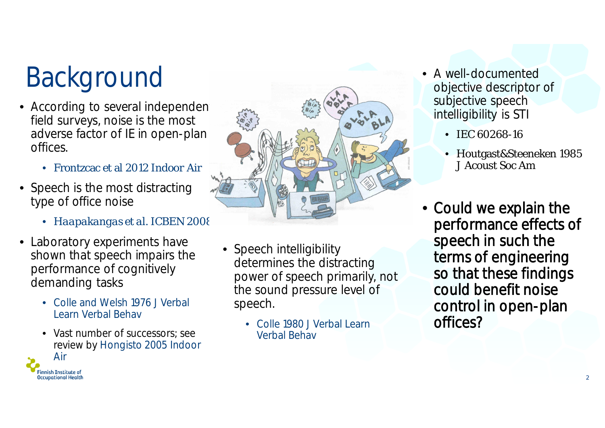## Background

- According to several independen field surveys, noise is the most adverse factor of IE in open-plan offices.
	- Frontzcac et al 2012 *Indoor Air*
- Speech is the most distracting type of office noise
	- *Haapakangas et al. ICBEN 2008*
- Laboratory experiments have shown that speech impairs the performance of cognitively demanding tasks
	- Colle and Welsh 1976 J Verbal Learn Verbal Behav
	- Vast number of successors; see review by Hongisto 2005 Indoor Air **Finnish Institute of**

**Occupational Health** 



- Speech intelligibility determines the distracting power of speech primarily, not the sound pressure level of speech.
	- Colle 1980 J Verbal Learn Verbal Behav
- A well-documented objective descriptor of subjective speech intelligibility is STI
	- IFC 60268-16
	- Houtgast&Steeneken 1985 J Acoust Soc Am
- Could we explain the performance effects of speech in such the terms of engineering so that these findings could benefit noise control in open-plan offices?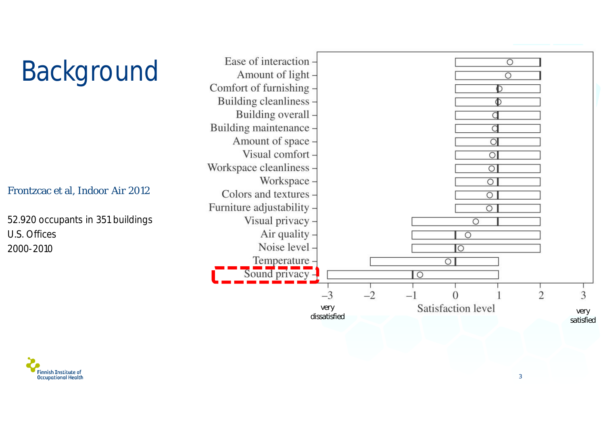

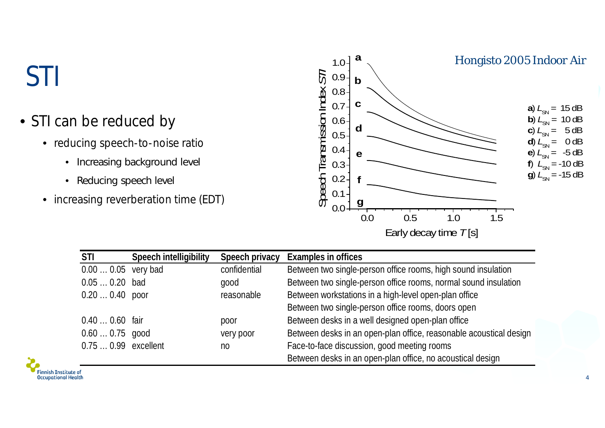## STI

- STI can be reduced by
	- reducing speech-to-noise ratio
		- Increasing background level
		- Reducing speech level
	- increasing reverberation time (EDT)



| STI                  | Speech intelligibility | Speech privacy | Examples in offices                                                |
|----------------------|------------------------|----------------|--------------------------------------------------------------------|
| $0.000.05$ very bad  |                        | confidential   | Between two single-person office rooms, high sound insulation      |
| $0.050.20$ bad       |                        | good           | Between two single-person office rooms, normal sound insulation    |
| $0.200.40$ poor      |                        | reasonable     | Between workstations in a high-level open-plan office              |
|                      |                        |                | Between two single-person office rooms, doors open                 |
| $0.400.60$ fair      |                        | poor           | Between desks in a well designed open-plan office                  |
| $0.600.75$ good      |                        | very poor      | Between desks in an open-plan office, reasonable acoustical design |
| 0.75  0.99 excellent |                        | n <sub>0</sub> | Face-to-face discussion, good meeting rooms                        |
|                      |                        |                | Between desks in an open-plan office, no acoustical design         |

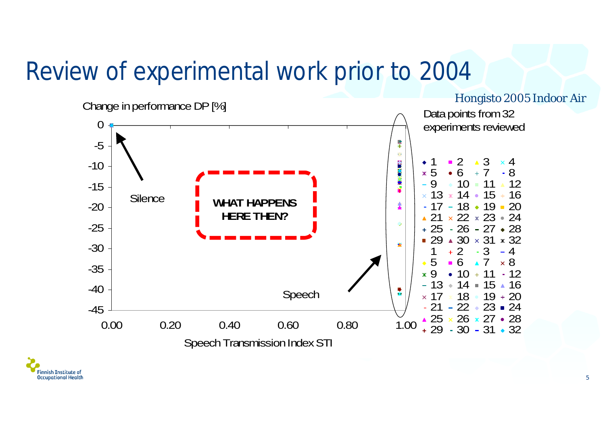#### Review of experimental work prior to 2004



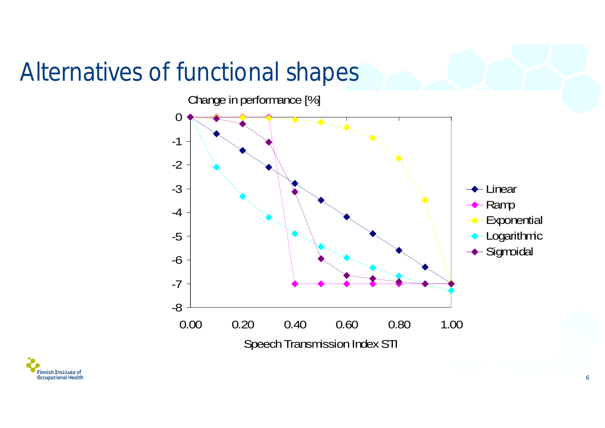#### Alternatives of functional shapes



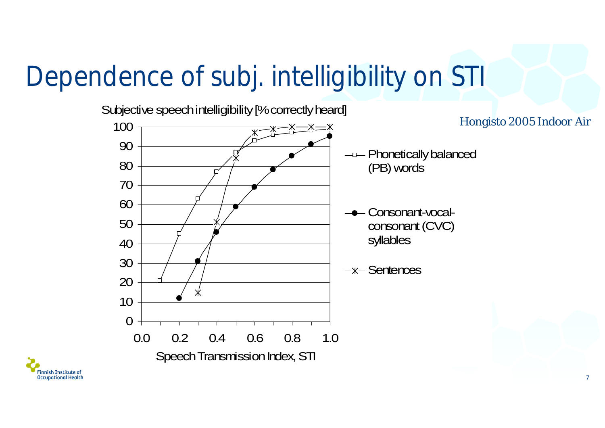#### Dependence of subj. intelligibility on STI



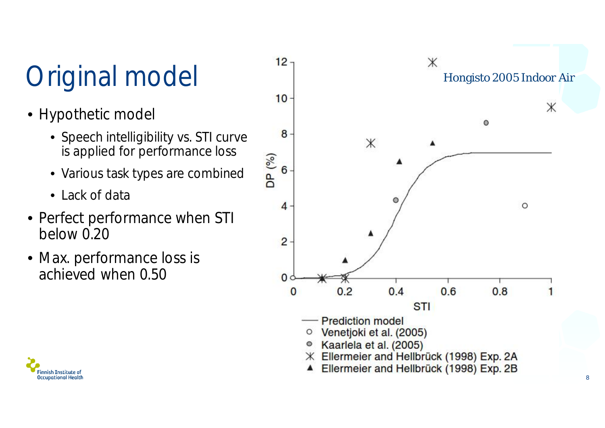# Original model

- Hypothetic model
	- Speech intelligibility vs. STI curve is applied for performance loss
	- Various task types are combined
	- Lack of data
- Perfect performance when STI below 0.20
- Max. performance loss is achieved when 0.50

 $12$  $\times$ Hongisto 2005 *Indoor Air*  $10$ Ж ٥ 8  $\times$  $\frac{\mathsf{D} \mathsf{P} \, \left( \begin{smallmatrix} \mathsf{O}_\mathsf{A} \\ \mathsf{O} \end{smallmatrix} \right)}{\mathsf{D} \mathsf{P} \, \mathsf{D} \, \mathsf{O}}$ 4  $\circ$  $\overline{c}$  $\mathbf{0}$  $0.2$  $0.4$  $0.6$  $\mathbf{0}$  $0.8$ **STI Prediction model** Venetjoki et al. (2005)  $\circ$ Kaarlela et al. (2005)  $\circ$ X Ellermeier and Hellbrück (1998) Exp. 2A Ellermeier and Hellbrück (1998) Exp. 2B ▲

**8**

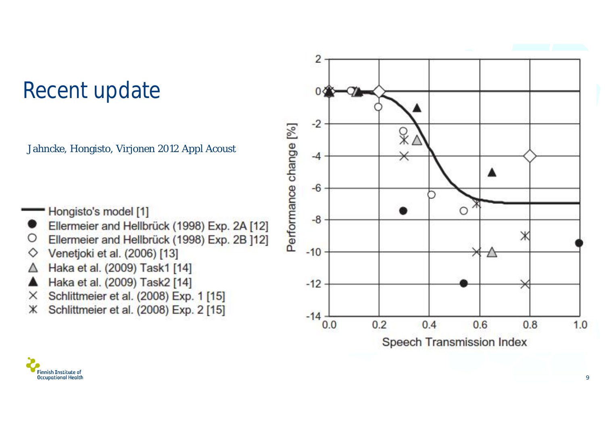#### Recent update

Jahncke, Hongisto, Virjonen 2012 *Appl Acoust*

Hongisto's model [1]

- Ellermeier and Hellbrück (1998) Exp. 2A [12]
- $\circ$ Ellermeier and Hellbrück (1998) Exp. 2B ]12]
- Venetjoki et al. (2006) [13]
- Haka et al. (2009) Task1 [14]
- Haka et al. (2009) Task2 [14]
- Schlittmeier et al. (2008) Exp. 1 [15]  $\times$
- Schlittmeier et al. (2008) Exp. 2 [15] Ж



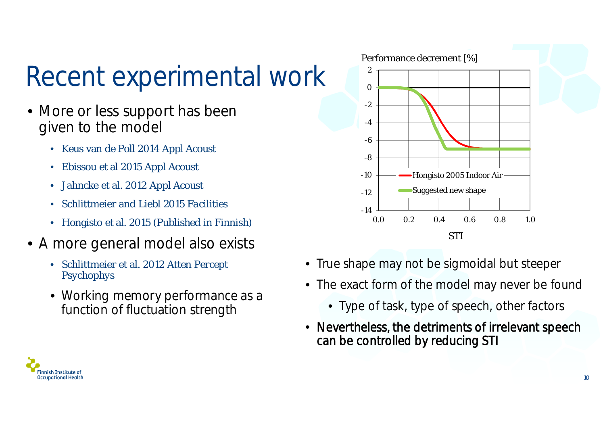## Recent experimental work

- More or less support has been given to the model
	- Keus van de Poll 2014 *Appl Acoust*
	- Ebissou et al 2015 *Appl Acoust*
	- Jahncke et al. 2012 *Appl Acoust*
	- Schlittmeier and Liebl 2015 *Facilities*
	- Hongisto et al. 2015 *(Published in Finnish)*
- A more general model also exists
	- Schlittmeier et al. 2012 *Atten Percept Psychophys*
	- Working memory performance as a function of fluctuation strength



- True shape may not be sigmoidal but steeper
- The exact form of the model may never be found
	- Type of task, type of speech, other factors
- Nevertheless, the detriments of irrelevant speech can be controlled by reducing STI

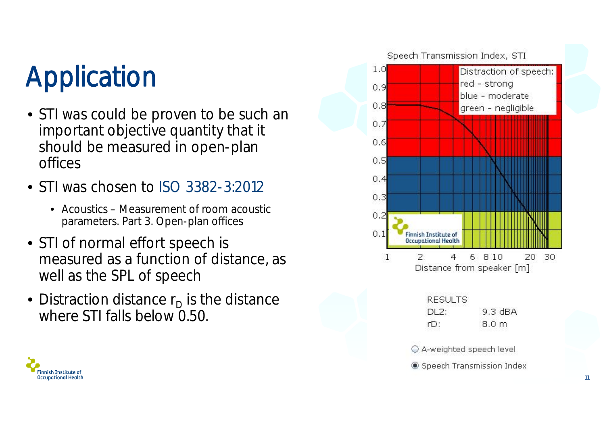## Application

- STI was could be proven to be such an important objective quantity that it should be measured in open-plan offices
- STI was chosen to ISO 3382-3:2012
	- Acoustics Measurement of room acoustic parameters. Part 3. Open-plan offices
- STI of normal effort speech is measured as a function of distance, as well as the SPL of speech
- Distraction distance  $r_{\text{D}}$  is the distance where STI falls below 0.50.